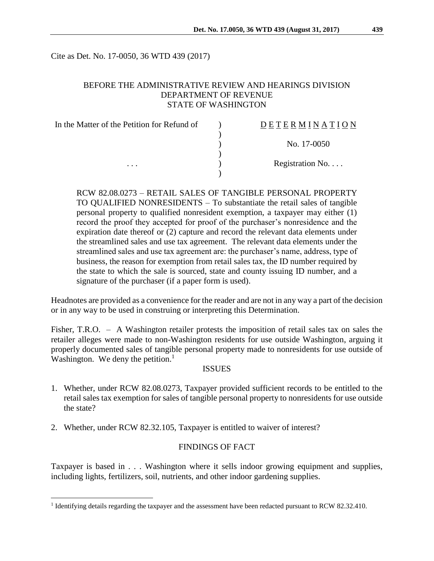Cite as Det. No. 17-0050, 36 WTD 439 (2017)

### BEFORE THE ADMINISTRATIVE REVIEW AND HEARINGS DIVISION DEPARTMENT OF REVENUE STATE OF WASHINGTON

| In the Matter of the Petition for Refund of | <b>DETERMINATION</b> |
|---------------------------------------------|----------------------|
|                                             |                      |
|                                             | No. 17-0050          |
|                                             |                      |
| $\cdots$                                    | Registration No      |
|                                             |                      |

RCW 82.08.0273 – RETAIL SALES OF TANGIBLE PERSONAL PROPERTY TO QUALIFIED NONRESIDENTS – To substantiate the retail sales of tangible personal property to qualified nonresident exemption, a taxpayer may either (1) record the proof they accepted for proof of the purchaser's nonresidence and the expiration date thereof or (2) capture and record the relevant data elements under the streamlined sales and use tax agreement. The relevant data elements under the streamlined sales and use tax agreement are: the purchaser's name, address, type of business, the reason for exemption from retail sales tax, the ID number required by the state to which the sale is sourced, state and county issuing ID number, and a signature of the purchaser (if a paper form is used).

Headnotes are provided as a convenience for the reader and are not in any way a part of the decision or in any way to be used in construing or interpreting this Determination.

Fisher, T.R.O. – A Washington retailer protests the imposition of retail sales tax on sales the retailer alleges were made to non-Washington residents for use outside Washington, arguing it properly documented sales of tangible personal property made to nonresidents for use outside of Washington. We deny the petition.<sup>1</sup>

#### **ISSUES**

- 1. Whether, under RCW 82.08.0273, Taxpayer provided sufficient records to be entitled to the retail sales tax exemption for sales of tangible personal property to nonresidents for use outside the state?
- 2. Whether, under RCW 82.32.105, Taxpayer is entitled to waiver of interest?

 $\overline{a}$ 

### FINDINGS OF FACT

Taxpayer is based in . . . Washington where it sells indoor growing equipment and supplies, including lights, fertilizers, soil, nutrients, and other indoor gardening supplies.

<sup>&</sup>lt;sup>1</sup> Identifying details regarding the taxpayer and the assessment have been redacted pursuant to RCW 82.32.410.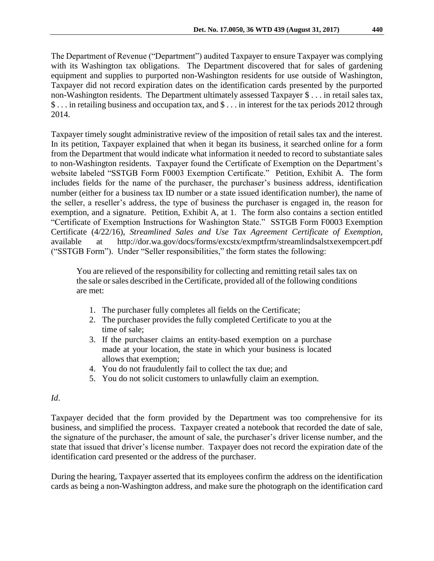The Department of Revenue ("Department") audited Taxpayer to ensure Taxpayer was complying with its Washington tax obligations. The Department discovered that for sales of gardening equipment and supplies to purported non-Washington residents for use outside of Washington, Taxpayer did not record expiration dates on the identification cards presented by the purported non-Washington residents. The Department ultimately assessed Taxpayer \$ . . . in retail sales tax, \$ . . . in retailing business and occupation tax, and \$ . . . in interest for the tax periods 2012 through 2014.

Taxpayer timely sought administrative review of the imposition of retail sales tax and the interest. In its petition, Taxpayer explained that when it began its business, it searched online for a form from the Department that would indicate what information it needed to record to substantiate sales to non-Washington residents. Taxpayer found the Certificate of Exemption on the Department's website labeled "SSTGB Form F0003 Exemption Certificate." Petition, Exhibit A. The form includes fields for the name of the purchaser, the purchaser's business address, identification number (either for a business tax ID number or a state issued identification number), the name of the seller, a reseller's address, the type of business the purchaser is engaged in, the reason for exemption, and a signature. Petition, Exhibit A, at 1. The form also contains a section entitled "Certificate of Exemption Instructions for Washington State." SSTGB Form F0003 Exemption Certificate (4/22/16), *Streamlined Sales and Use Tax Agreement Certificate of Exemption*, available at http://dor.wa.gov/docs/forms/excstx/exmptfrm/streamlindsalstxexempcert.pdf ("SSTGB Form"). Under "Seller responsibilities," the form states the following:

You are relieved of the responsibility for collecting and remitting retail sales tax on the sale or sales described in the Certificate, provided all of the following conditions are met:

- 1. The purchaser fully completes all fields on the Certificate;
- 2. The purchaser provides the fully completed Certificate to you at the time of sale;
- 3. If the purchaser claims an entity-based exemption on a purchase made at your location, the state in which your business is located allows that exemption;
- 4. You do not fraudulently fail to collect the tax due; and
- 5. You do not solicit customers to unlawfully claim an exemption.

## *Id*.

Taxpayer decided that the form provided by the Department was too comprehensive for its business, and simplified the process. Taxpayer created a notebook that recorded the date of sale, the signature of the purchaser, the amount of sale, the purchaser's driver license number, and the state that issued that driver's license number. Taxpayer does not record the expiration date of the identification card presented or the address of the purchaser.

During the hearing, Taxpayer asserted that its employees confirm the address on the identification cards as being a non-Washington address, and make sure the photograph on the identification card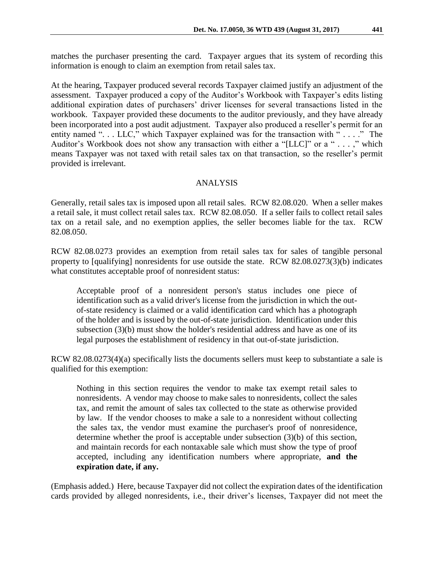matches the purchaser presenting the card. Taxpayer argues that its system of recording this information is enough to claim an exemption from retail sales tax.

At the hearing, Taxpayer produced several records Taxpayer claimed justify an adjustment of the assessment. Taxpayer produced a copy of the Auditor's Workbook with Taxpayer's edits listing additional expiration dates of purchasers' driver licenses for several transactions listed in the workbook. Taxpayer provided these documents to the auditor previously, and they have already been incorporated into a post audit adjustment. Taxpayer also produced a reseller's permit for an entity named "... LLC," which Taxpayer explained was for the transaction with "...." The Auditor's Workbook does not show any transaction with either a "[LLC]" or a " . . . ," which means Taxpayer was not taxed with retail sales tax on that transaction, so the reseller's permit provided is irrelevant.

# ANALYSIS

Generally, retail sales tax is imposed upon all retail sales. RCW 82.08.020. When a seller makes a retail sale, it must collect retail sales tax. RCW 82.08.050. If a seller fails to collect retail sales tax on a retail sale, and no exemption applies, the seller becomes liable for the tax. RCW 82.08.050.

RCW 82.08.0273 provides an exemption from retail sales tax for sales of tangible personal property to [qualifying] nonresidents for use outside the state. RCW 82.08.0273(3)(b) indicates what constitutes acceptable proof of nonresident status:

Acceptable proof of a nonresident person's status includes one piece of identification such as a valid driver's license from the jurisdiction in which the outof-state residency is claimed or a valid identification card which has a photograph of the holder and is issued by the out-of-state jurisdiction. Identification under this subsection (3)(b) must show the holder's residential address and have as one of its legal purposes the establishment of residency in that out-of-state jurisdiction.

RCW 82.08.0273(4)(a) specifically lists the documents sellers must keep to substantiate a sale is qualified for this exemption:

Nothing in this section requires the vendor to make tax exempt retail sales to nonresidents. A vendor may choose to make sales to nonresidents, collect the sales tax, and remit the amount of sales tax collected to the state as otherwise provided by law. If the vendor chooses to make a sale to a nonresident without collecting the sales tax, the vendor must examine the purchaser's proof of nonresidence, determine whether the proof is acceptable under subsection (3)(b) of this section, and maintain records for each nontaxable sale which must show the type of proof accepted, including any identification numbers where appropriate, **and the expiration date, if any.**

(Emphasis added.) Here, because Taxpayer did not collect the expiration dates of the identification cards provided by alleged nonresidents, i.e., their driver's licenses, Taxpayer did not meet the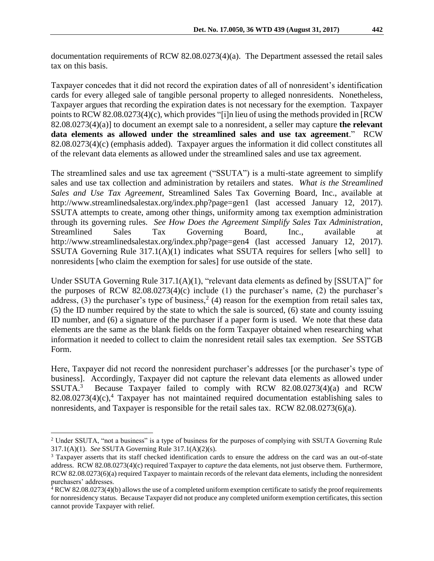documentation requirements of RCW 82.08.0273(4)(a). The Department assessed the retail sales tax on this basis.

Taxpayer concedes that it did not record the expiration dates of all of nonresident's identification cards for every alleged sale of tangible personal property to alleged nonresidents. Nonetheless, Taxpayer argues that recording the expiration dates is not necessary for the exemption. Taxpayer points to RCW 82.08.0273(4)(c), which provides "[i]n lieu of using the methods provided in [RCW 82.08.0273(4)(a)] to document an exempt sale to a nonresident, a seller may capture **the relevant data elements as allowed under the streamlined sales and use tax agreement**." RCW 82.08.0273(4)(c) (emphasis added). Taxpayer argues the information it did collect constitutes all of the relevant data elements as allowed under the streamlined sales and use tax agreement.

The streamlined sales and use tax agreement ("SSUTA") is a multi-state agreement to simplify sales and use tax collection and administration by retailers and states. *What is the Streamlined Sales and Use Tax Agreement*, Streamlined Sales Tax Governing Board, Inc., available at http://www.streamlinedsalestax.org/index.php?page=gen1 (last accessed January 12, 2017). SSUTA attempts to create, among other things, uniformity among tax exemption administration through its governing rules. *See How Does the Agreement Simplify Sales Tax Administration*, Streamlined Sales Tax Governing Board, Inc., available at http://www.streamlinedsalestax.org/index.php?page=gen4 (last accessed January 12, 2017). SSUTA Governing Rule 317.1(A)(1) indicates what SSUTA requires for sellers [who sell] to nonresidents [who claim the exemption for sales] for use outside of the state.

Under SSUTA Governing Rule 317.1(A)(1), "relevant data elements as defined by [SSUTA]" for the purposes of RCW 82.08.0273(4)(c) include (1) the purchaser's name, (2) the purchaser's address, (3) the purchaser's type of business,<sup>2</sup> (4) reason for the exemption from retail sales tax, (5) the ID number required by the state to which the sale is sourced, (6) state and county issuing ID number, and (6) a signature of the purchaser if a paper form is used. We note that these data elements are the same as the blank fields on the form Taxpayer obtained when researching what information it needed to collect to claim the nonresident retail sales tax exemption. *See* SSTGB Form.

Here, Taxpayer did not record the nonresident purchaser's addresses [or the purchaser's type of business]. Accordingly, Taxpayer did not capture the relevant data elements as allowed under SSUTA.<sup>3</sup> Because Taxpayer failed to comply with RCW 82.08.0273(4)(a) and RCW  $82.08.0273(4)(c)$ ,<sup>4</sup> Taxpayer has not maintained required documentation establishing sales to nonresidents, and Taxpayer is responsible for the retail sales tax. RCW 82.08.0273(6)(a).

 $\overline{a}$ 

<sup>2</sup> Under SSUTA, "not a business" is a type of business for the purposes of complying with SSUTA Governing Rule 317.1(A)(1). *See* SSUTA Governing Rule 317.1(A)(2)(s).

<sup>&</sup>lt;sup>3</sup> Taxpayer asserts that its staff checked identification cards to ensure the address on the card was an out-of-state address. RCW 82.08.0273(4)(c) required Taxpayer to *capture* the data elements, not just observe them. Furthermore, RCW 82.08.0273(6)(a) required Taxpayer to maintain records of the relevant data elements, including the nonresident purchasers' addresses.

<sup>4</sup> RCW 82.08.0273(4)(b) allows the use of a completed uniform exemption certificate to satisfy the proof requirements for nonresidency status. Because Taxpayer did not produce any completed uniform exemption certificates, this section cannot provide Taxpayer with relief.